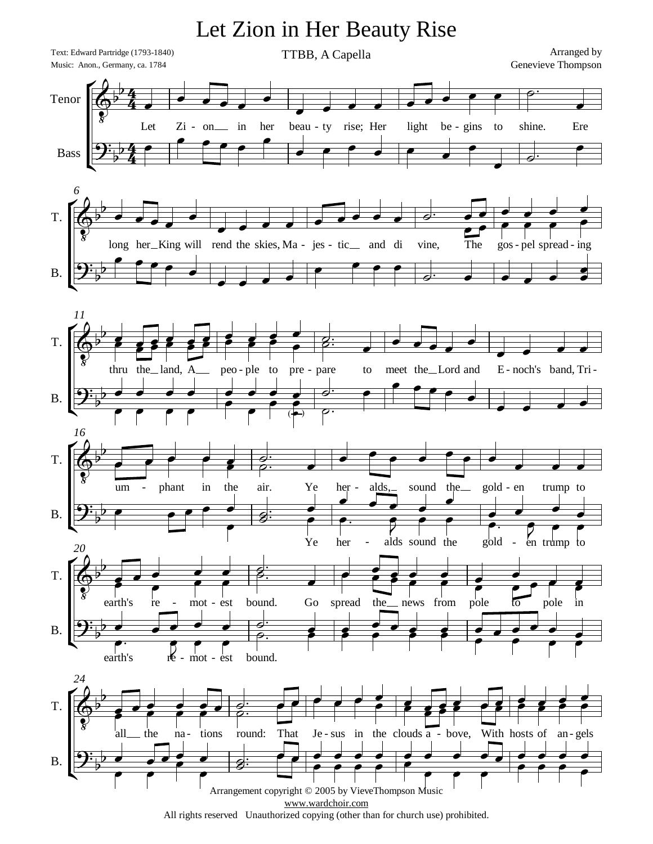